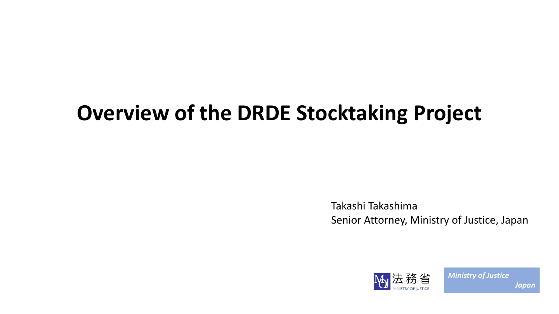# **Overview of the DRDE Stocktaking Project**

Takashi Takashima Senior Attorney, Ministry of Justice, Japan

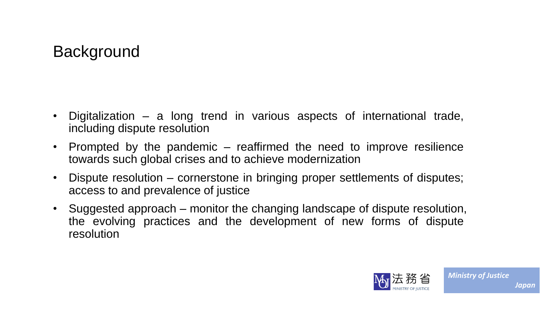#### **Background**

- Digitalization a long trend in various aspects of international trade, including dispute resolution
- Prompted by the pandemic reaffirmed the need to improve resilience towards such global crises and to achieve modernization
- Dispute resolution cornerstone in bringing proper settlements of disputes; access to and prevalence of justice
- Suggested approach monitor the changing landscape of dispute resolution, the evolving practices and the development of new forms of dispute resolution

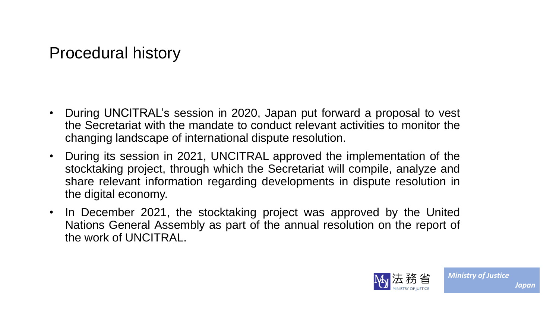#### Procedural history

- During UNCITRAL's session in 2020, Japan put forward a proposal to vest the Secretariat with the mandate to conduct relevant activities to monitor the changing landscape of international dispute resolution.
- During its session in 2021, UNCITRAL approved the implementation of the stocktaking project, through which the Secretariat will compile, analyze and share relevant information regarding developments in dispute resolution in the digital economy.
- In December 2021, the stocktaking project was approved by the United Nations General Assembly as part of the annual resolution on the report of the work of UNCITRAL.

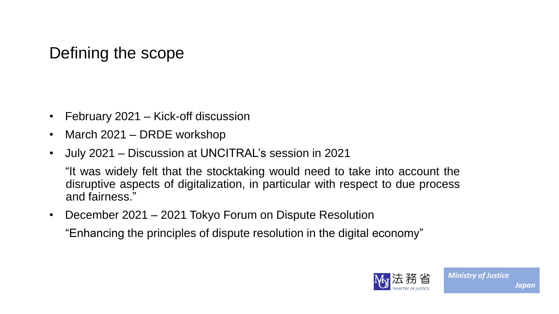### Defining the scope

- February 2021 Kick-off discussion
- March 2021 DRDE workshop
- July 2021 Discussion at UNCITRAL's session in 2021

"It was widely felt that the stocktaking would need to take into account the disruptive aspects of digitalization, in particular with respect to due process and fairness."

• December 2021 – 2021 Tokyo Forum on Dispute Resolution

"Enhancing the principles of dispute resolution in the digital economy"